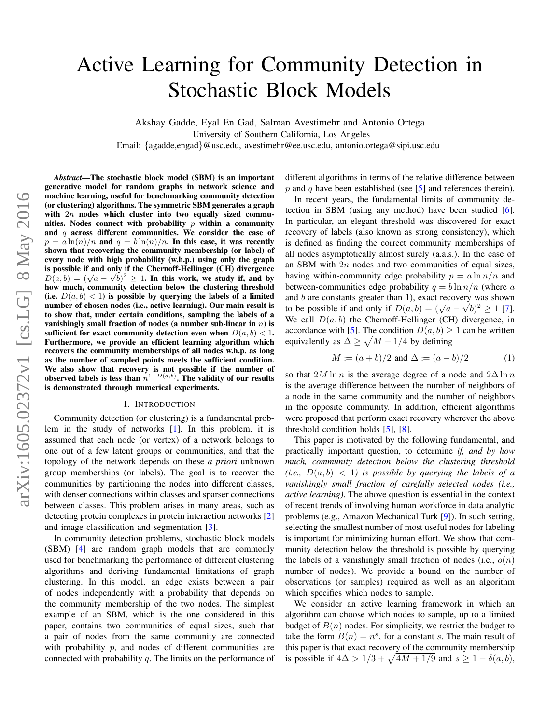# <span id="page-0-0"></span>Active Learning for Community Detection in Stochastic Block Models

Akshay Gadde, Eyal En Gad, Salman Avestimehr and Antonio Ortega

University of Southern California, Los Angeles

Email: {agadde,engad}@usc.edu, avestimehr@ee.usc.edu, antonio.ortega@sipi.usc.edu

*Abstract*—The stochastic block model (SBM) is an important generative model for random graphs in network science and machine learning, useful for benchmarking community detection (or clustering) algorithms. The symmetric SBM generates a graph with  $2n$  nodes which cluster into two equally sized communities. Nodes connect with probability  $p$  within a community and  $q$  across different communities. We consider the case of  $p = a \ln(n)/n$  and  $q = b \ln(n)/n$ . In this case, it was recently shown that recovering the community membership (or label) of every node with high probability (w.h.p.) using only the graph is possible if and only if the Chernoff-Hellinger (CH) divergence **EXECUTE:** By a study if the Chernon-Henniger (CH) divergence  $D(a, b) = (\sqrt{a} - \sqrt{b})^2 \ge 1$ . In this work, we study if, and by how much, community detection below the clustering threshold (i.e.  $D(a, b) < 1$ ) is possible by querying the labels of a limited number of chosen nodes (i.e., active learning). Our main result is to show that, under certain conditions, sampling the labels of a vanishingly small fraction of nodes (a number sub-linear in  $n$ ) is sufficient for exact community detection even when  $D(a, b) < 1$ . Furthermore, we provide an efficient learning algorithm which recovers the community memberships of all nodes w.h.p. as long as the number of sampled points meets the sufficient condition. We also show that recovery is not possible if the number of observed labels is less than  $n^{1-D(a,b)}$ . The validity of our results is demonstrated through numerical experiments.

#### I. INTRODUCTION

Community detection (or clustering) is a fundamental problem in the study of networks [\[1\]](#page-4-0). In this problem, it is assumed that each node (or vertex) of a network belongs to one out of a few latent groups or communities, and that the topology of the network depends on these *a priori* unknown group memberships (or labels). The goal is to recover the communities by partitioning the nodes into different classes, with denser connections within classes and sparser connections between classes. This problem arises in many areas, such as detecting protein complexes in protein interaction networks [\[2\]](#page-4-1) and image classification and segmentation [\[3\]](#page-4-2).

In community detection problems, stochastic block models (SBM) [\[4\]](#page-4-3) are random graph models that are commonly used for benchmarking the performance of different clustering algorithms and deriving fundamental limitations of graph clustering. In this model, an edge exists between a pair of nodes independently with a probability that depends on the community membership of the two nodes. The simplest example of an SBM, which is the one considered in this paper, contains two communities of equal sizes, such that a pair of nodes from the same community are connected with probability  $p$ , and nodes of different communities are connected with probability  $q$ . The limits on the performance of different algorithms in terms of the relative difference between p and q have been established (see  $\lceil 5 \rceil$  and references therein).

In recent years, the fundamental limits of community detection in SBM (using any method) have been studied [\[6\]](#page-4-5). In particular, an elegant threshold was discovered for exact recovery of labels (also known as strong consistency), which is defined as finding the correct community memberships of all nodes asymptotically almost surely (a.a.s.). In the case of an SBM with  $2n$  nodes and two communities of equal sizes, having within-community edge probability  $p = a \ln n/n$  and between-communities edge probability  $q = b \ln n/n$  (where a and b are constants greater than 1), exact recovery was shown to be possible if and only if  $D(a, b) = (\sqrt{a} - \sqrt{b})^2 \ge 1$  [\[7\]](#page-4-6). We call  $D(a, b)$  the Chernoff-Hellinger (CH) divergence, in accordance with [\[5\]](#page-4-4). The condition  $D(a, b) > 1$  can be written equivalently as  $\Delta \geq \sqrt{M-1/4}$  by defining

$$
M := (a+b)/2
$$
 and  $\Delta := (a-b)/2$  (1)

so that  $2M \ln n$  is the average degree of a node and  $2\Delta \ln n$ is the average difference between the number of neighbors of a node in the same community and the number of neighbors in the opposite community. In addition, efficient algorithms were proposed that perform exact recovery wherever the above threshold condition holds [\[5\]](#page-4-4), [\[8\]](#page-4-7).

This paper is motivated by the following fundamental, and practically important question, to determine *if, and by how much, community detection below the clustering threshold*  $(i.e., D(a, b) < 1)$  is possible by querying the labels of a *vanishingly small fraction of carefully selected nodes (i.e., active learning)*. The above question is essential in the context of recent trends of involving human workforce in data analytic problems (e.g., Amazon Mechanical Turk [\[9\]](#page-4-8)). In such setting, selecting the smallest number of most useful nodes for labeling is important for minimizing human effort. We show that community detection below the threshold is possible by querying the labels of a vanishingly small fraction of nodes (i.e.,  $o(n)$ ) number of nodes). We provide a bound on the number of observations (or samples) required as well as an algorithm which specifies which nodes to sample.

We consider an active learning framework in which an algorithm can choose which nodes to sample, up to a limited budget of  $B(n)$  nodes. For simplicity, we restrict the budget to take the form  $B(n) = n<sup>s</sup>$ , for a constant s. The main result of this paper is that exact recovery of the community membership is possible if  $4\Delta > 1/3 + \sqrt{4M + 1/9}$  and  $s \ge 1 - \delta(a, b)$ ,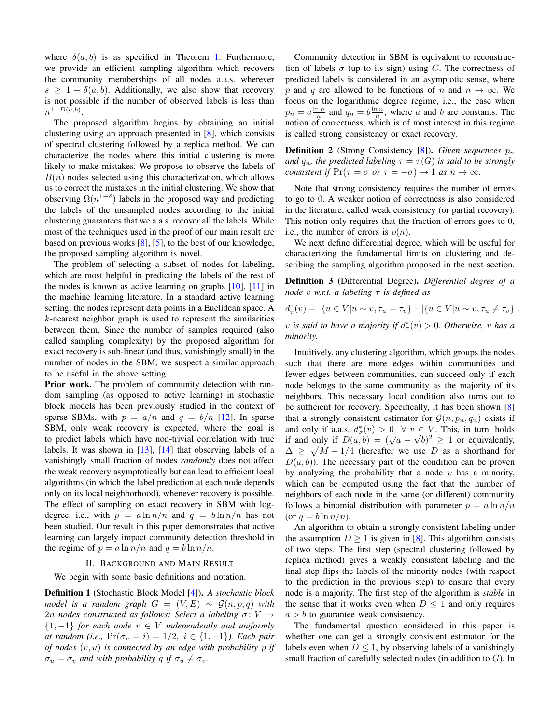where  $\delta(a, b)$  is as specified in Theorem [1.](#page-2-0) Furthermore, we provide an efficient sampling algorithm which recovers the community memberships of all nodes a.a.s. wherever  $s \geq 1 - \delta(a, b)$ . Additionally, we also show that recovery is not possible if the number of observed labels is less than  $n^{1-D(a,b)}$ .

The proposed algorithm begins by obtaining an initial clustering using an approach presented in [\[8\]](#page-4-7), which consists of spectral clustering followed by a replica method. We can characterize the nodes where this initial clustering is more likely to make mistakes. We propose to observe the labels of  $B(n)$  nodes selected using this characterization, which allows us to correct the mistakes in the initial clustering. We show that observing  $\Omega(n^{1-\delta})$  labels in the proposed way and predicting the labels of the unsampled nodes according to the initial clustering guarantees that we a.a.s. recover all the labels. While most of the techniques used in the proof of our main result are based on previous works [\[8\]](#page-4-7), [\[5\]](#page-4-4), to the best of our knowledge, the proposed sampling algorithm is novel.

The problem of selecting a subset of nodes for labeling, which are most helpful in predicting the labels of the rest of the nodes is known as active learning on graphs  $[10]$ ,  $[11]$  in the machine learning literature. In a standard active learning setting, the nodes represent data points in a Euclidean space. A  $k$ -nearest neighbor graph is used to represent the similarities between them. Since the number of samples required (also called sampling complexity) by the proposed algorithm for exact recovery is sub-linear (and thus, vanishingly small) in the number of nodes in the SBM, we suspect a similar approach to be useful in the above setting.

Prior work. The problem of community detection with random sampling (as opposed to active learning) in stochastic block models has been previously studied in the context of sparse SBMs, with  $p = a/n$  and  $q = b/n$  [\[12\]](#page-4-11). In sparse SBM, only weak recovery is expected, where the goal is to predict labels which have non-trivial correlation with true labels. It was shown in  $[13]$ ,  $[14]$  that observing labels of a vanishingly small fraction of nodes *randomly* does not affect the weak recovery asymptotically but can lead to efficient local algorithms (in which the label prediction at each node depends only on its local neighborhood), whenever recovery is possible. The effect of sampling on exact recovery in SBM with logdegree, i.e., with  $p = a \ln n/n$  and  $q = b \ln n/n$  has not been studied. Our result in this paper demonstrates that active learning can largely impact community detection threshold in the regime of  $p = a \ln n/n$  and  $q = b \ln n/n$ .

## II. BACKGROUND AND MAIN RESULT

We begin with some basic definitions and notation.

Definition 1 (Stochastic Block Model [\[4\]](#page-4-3)). *A stochastic block model is a random graph*  $G = (V, E) \sim \mathcal{G}(n, p, q)$  *with* 2n *nodes constructed as follows: Select a labeling*  $\sigma: V \rightarrow$ {1, −1} *for each node* v ∈ V *independently and uniformly at random (i.e.,*  $Pr(\sigma_v = i) = 1/2, i \in \{1, -1\}$ *). Each pair of nodes* (v, u) *is connected by an edge with probability* p *if*  $\sigma_u = \sigma_v$  *and with probability q if*  $\sigma_u \neq \sigma_v$ *.* 

Community detection in SBM is equivalent to reconstruction of labels  $\sigma$  (up to its sign) using G. The correctness of predicted labels is considered in an asymptotic sense, where p and q are allowed to be functions of n and  $n \to \infty$ . We focus on the logarithmic degree regime, i.e., the case when  $p_n = a \frac{\ln n}{n}$  and  $q_n = b \frac{\ln n}{n}$ , where a and b are constants. The notion of correctness, which is of most interest in this regime is called strong consistency or exact recovery.

**Definition 2** (Strong Consistency  $[8]$ ). *Given sequences*  $p_n$ *and*  $q_n$ , the predicted labeling  $\tau = \tau(G)$  is said to be strongly *consistent if*  $Pr(\tau = \sigma \text{ or } \tau = -\sigma) \rightarrow 1 \text{ as } n \rightarrow \infty$ *.* 

Note that strong consistency requires the number of errors to go to 0. A weaker notion of correctness is also considered in the literature, called weak consistency (or partial recovery). This notion only requires that the fraction of errors goes to 0, i.e., the number of errors is  $o(n)$ .

We next define differential degree, which will be useful for characterizing the fundamental limits on clustering and describing the sampling algorithm proposed in the next section.

Definition 3 (Differential Degree). *Differential degree of a node* v *w.r.t. a labeling* τ *is defined as*

$$
d^*_{\tau}(v) = |\{u \in V | u \sim v, \tau_u = \tau_v\}| - |\{u \in V | u \sim v, \tau_u \neq \tau_v\}|.
$$

 $v$  *is said to have a majority if*  $d^*_{\tau}(v) > 0$ *. Otherwise, v has a minority.*

Intuitively, any clustering algorithm, which groups the nodes such that there are more edges within communities and fewer edges between communities, can succeed only if each node belongs to the same community as the majority of its neighbors. This necessary local condition also turns out to be sufficient for recovery. Specifically, it has been shown [\[8\]](#page-4-7) that a strongly consistent estimator for  $\mathcal{G}(n, p_n, q_n)$  exists if and only if a.a.s.  $d^*_{\sigma}(v) > 0 \quad \forall v \in V$ . This, in turn, holds if and only if  $D(a, b) = (\sqrt{a} - \sqrt{b})^2 \ge 1$  or equivalently,  $\Delta \geq \sqrt{M-1/4}$  (hereafter we use D as a shorthand for  $D(a, b)$ ). The necessary part of the condition can be proven by analyzing the probability that a node  $v$  has a minority, which can be computed using the fact that the number of neighbors of each node in the same (or different) community follows a binomial distribution with parameter  $p = a \ln n/n$ (or  $q = b \ln n/n$ ).

An algorithm to obtain a strongly consistent labeling under the assumption  $D \ge 1$  is given in [\[8\]](#page-4-7). This algorithm consists of two steps. The first step (spectral clustering followed by replica method) gives a weakly consistent labeling and the final step flips the labels of the minority nodes (with respect to the prediction in the previous step) to ensure that every node is a majority. The first step of the algorithm is *stable* in the sense that it works even when  $D \leq 1$  and only requires  $a > b$  to guarantee weak consistency.

The fundamental question considered in this paper is whether one can get a strongly consistent estimator for the labels even when  $D \leq 1$ , by observing labels of a vanishingly small fraction of carefully selected nodes (in addition to  $G$ ). In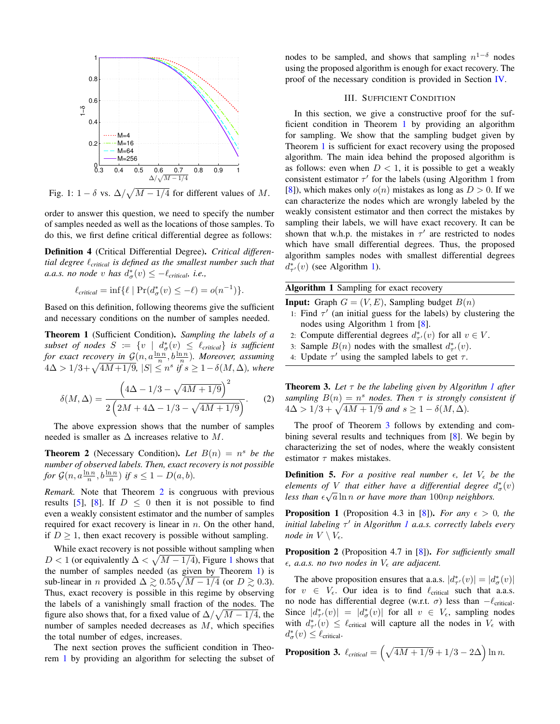<span id="page-2-2"></span>

Fig. 1:  $1 - \delta$  vs.  $\Delta / \sqrt{M - 1/4}$  for different values of M.

order to answer this question, we need to specify the number of samples needed as well as the locations of those samples. To do this, we first define critical differential degree as follows:

Definition 4 (Critical Differential Degree). *Critical differential degree* `*critical is defined as the smallest number such that a.a.s. no node* v has  $d^*_{\sigma}(v) \leq -\ell_{critical}$ *, i.e.,* 

$$
\ell_{critical} = \inf \{ \ell \mid \Pr(d^*_{\sigma}(v) \leq -\ell) = o(n^{-1}) \}.
$$

Based on this definition, following theorems give the sufficient and necessary conditions on the number of samples needed.

<span id="page-2-0"></span>Theorem 1 (Sufficient Condition). *Sampling the labels of a*  $subset of nodes S := \{v \mid d^*_{\sigma}(v) \leq \ell_{critical}\}$  *is sufficient* for exact recovery in  $\mathcal{G}(n, a \frac{\ln n}{n}, b \frac{\ln n}{n})$ . Moreover, assuming  $4Δ > 1/3 + √4M +1/9,$   $|S| ≤ n<sup>s</sup>$  *if*  $s ≥ 1 - δ(M, Δ)$ *, where* 

$$
\delta(M,\Delta) = \frac{\left(4\Delta - 1/3 - \sqrt{4M + 1/9}\right)^2}{2\left(2M + 4\Delta - 1/3 - \sqrt{4M + 1/9}\right)}.
$$
 (2)

The above expression shows that the number of samples needed is smaller as  $\Delta$  increases relative to M.

<span id="page-2-1"></span>**Theorem 2** (Necessary Condition). Let  $B(n) = n^s$  be the *number of observed labels. Then, exact recovery is not possible for*  $\mathcal{G}(n, a\frac{\ln n}{n}, b\frac{\ln n}{n})$  *if*  $s \leq 1 - D(a, b)$ *.* 

*Remark.* Note that Theorem [2](#page-2-1) is congruous with previous results [\[5\]](#page-4-4), [\[8\]](#page-4-7). If  $D \leq 0$  then it is not possible to find even a weakly consistent estimator and the number of samples required for exact recovery is linear in  $n$ . On the other hand, if  $D > 1$ , then exact recovery is possible without sampling.

While exact recovery is not possible without sampling when D < [1](#page-2-2) (or equivalently  $\Delta < \sqrt{M-1/4}$ ), Figure 1 shows that the number of samples needed (as given by Theorem [1\)](#page-2-0) is sub-linear in *n* provided  $\Delta \gtrsim 0.55\sqrt{M-1/4}$  (or  $D \gtrsim 0.3$ ). Thus, exact recovery is possible in this regime by observing the labels of a vanishingly small fraction of the nodes. The figure also shows that, for a fixed value of  $\Delta/\sqrt{M-1/4}$ , the number of samples needed decreases as M, which specifies the total number of edges, increases.

The next section proves the sufficient condition in Theorem [1](#page-2-0) by providing an algorithm for selecting the subset of

nodes to be sampled, and shows that sampling  $n^{1-\delta}$  nodes using the proposed algorithm is enough for exact recovery. The proof of the necessary condition is provided in Section [IV.](#page-3-0)

## III. SUFFICIENT CONDITION

In this section, we give a constructive proof for the sufficient condition in Theorem [1](#page-2-0) by providing an algorithm for sampling. We show that the sampling budget given by Theorem [1](#page-2-0) is sufficient for exact recovery using the proposed algorithm. The main idea behind the proposed algorithm is as follows: even when  $D < 1$ , it is possible to get a weakly consistent estimator  $\tau'$  for the labels (using Algorithm 1 from [\[8\]](#page-4-7)), which makes only  $o(n)$  mistakes as long as  $D > 0$ . If we can characterize the nodes which are wrongly labeled by the weakly consistent estimator and then correct the mistakes by sampling their labels, we will have exact recovery. It can be shown that w.h.p. the mistakes in  $\tau'$  are restricted to nodes which have small differential degrees. Thus, the proposed algorithm samples nodes with smallest differential degrees  $d_{\tau'}^*(v)$  (see Algorithm [1\)](#page-0-0).

Algorithm 1 Sampling for exact recovery

**Input:** Graph  $G = (V, E)$ , Sampling budget  $B(n)$ 

- 1: Find  $\tau'$  (an initial guess for the labels) by clustering the nodes using Algorithm 1 from [\[8\]](#page-4-7).
- 2: Compute differential degrees  $d^*_{\tau}(v)$  for all  $v \in V$ .
- 3: Sample  $B(n)$  nodes with the smallest  $d^*_{\tau}(v)$ .
- 4: Update  $\tau'$  using the sampled labels to get  $\tau$ .

<span id="page-2-3"></span>Theorem 3. *Let* τ *be the labeling given by Algorithm [1](#page-0-0) after sampling*  $B(n) = n^s$  *nodes. Then*  $\tau$  *is strongly consistent if*  $4\Delta > 1/3 + \sqrt{4M + 1/9}$  and  $s \ge 1 - \delta(M, \Delta)$ .

The proof of Theorem [3](#page-2-3) follows by extending and combining several results and techniques from [\[8\]](#page-4-7). We begin by characterizing the set of nodes, where the weakly consistent estimator  $\tau$  makes mistakes.

**Definition 5.** For a positive real number  $\epsilon$ , let  $V_{\epsilon}$  be the *elements of V that either have a differential degree*  $d^*_{\sigma}(v)$ less than  $\epsilon \sqrt{a} \ln n$  or have more than 100np neighbors.

**Proposition 1** (Proposition 4.3 in [\[8\]](#page-4-7)). *For any*  $\epsilon > 0$ , the *initial labeling*  $τ'$  *in Algorithm [1](#page-0-0) a.a.s. correctly labels every node in*  $V \setminus V_{\epsilon}$ .

Proposition 2 (Proposition 4.7 in [\[8\]](#page-4-7)). *For sufficiently small*  $\epsilon$ , *a.a.s. no two nodes in*  $V_{\epsilon}$  *are adjacent.* 

The above proposition ensures that a.a.s.  $|d^*_{\tau}(v)| = |d^*_{\sigma}(v)|$ for  $v \in V_{\epsilon}$ . Our idea is to find  $\ell_{critical}$  such that a.a.s. no node has differential degree (w.r.t. σ) less than  $-\ell$ <sub>critical</sub>. Since  $|d^*_{\tau'}(v)| = |d^*_{\sigma}(v)|$  for all  $v \in V_{\epsilon}$ , sampling nodes with  $d^*_{\tau'}(v) \leq \ell_{\text{critical}}$  will capture all the nodes in  $V_{\epsilon}$  with  $d^*_{\sigma}(v) \leq \ell_{\rm critical}.$ 

**Proposition 3.** 
$$
\ell_{critical} = \left(\sqrt{4M+1/9} + 1/3 - 2\Delta\right) \ln n.
$$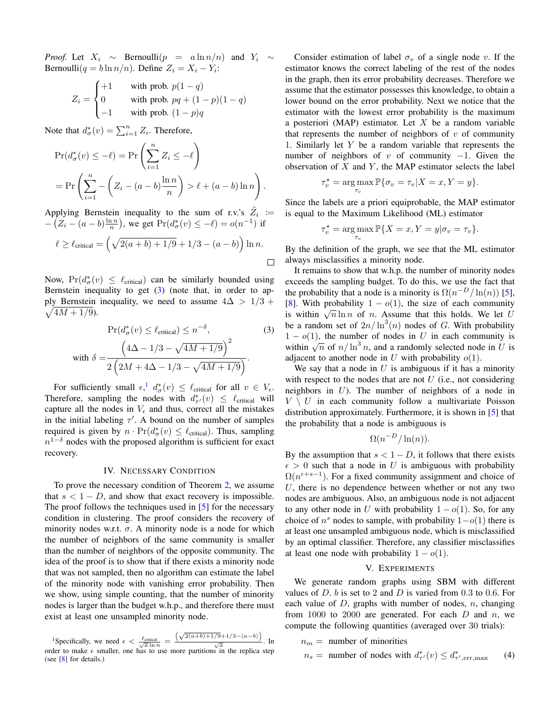*Proof.* Let  $X_i \sim$  Bernoulli $(p = a \ln n/n)$  and  $Y_i \sim$ Bernoulli $(q = b \ln n/n)$ . Define  $Z_i = X_i - Y_i$ :

$$
Z_i = \begin{cases} +1 & \text{with prob. } p(1-q) \\ 0 & \text{with prob. } pq + (1-p)(1-q) \\ -1 & \text{with prob. } (1-p)q \end{cases}
$$

Note that  $d^*_{\sigma}(v) = \sum_{i=1}^n Z_i$ . Therefore,

$$
\Pr(d_{\sigma}^*(v) \le -\ell) = \Pr\left(\sum_{i=1}^n Z_i \le -\ell\right)
$$

$$
= \Pr\left(\sum_{i=1}^n -\left(Z_i - (a-b)\frac{\ln n}{n}\right) > \ell + (a-b)\ln n\right).
$$

Applying Bernstein inequality to the sum of r.v.'s  $\tilde{Z}_i$  :=  $-(Z_i - (a - b)\frac{\ln n}{n})$ , we get  $Pr(d^*_{\sigma}(v) \le -\ell) = o(n^{-1})$  if

$$
\ell \ge \ell_{\text{critical}} = \left(\sqrt{2(a+b)+1/9} + 1/3 - (a-b)\right) \ln n.
$$

Now,  $Pr(d^*_{\sigma}(v) \leq \ell_{critical})$  can be similarly bounded using Bernstein inequality to get  $(3)$  (note that, in order to ap- $\sqrt{4M+1/9}$ ). ply Bernstein inequality, we need to assume  $4\Delta > 1/3 +$ 

$$
\Pr(d_{\sigma}^*(v) \le \ell_{\text{critical}}) \le n^{-\delta},\tag{3}
$$
  
with 
$$
\delta = \frac{\left(4\Delta - 1/3 - \sqrt{4M + 1/9}\right)^2}{2\left(2M + 4\Delta - 1/3 - \sqrt{4M + 1/9}\right)}.
$$

For sufficiently small  $\epsilon$ ,  $d^*_{\sigma}(v) \leq \ell_{critical}$  for all  $v \in V_{\epsilon}$ . Therefore, sampling the nodes with  $d^*_{\tau}(v) \leq \ell_{critical}$  will capture all the nodes in  $V_{\epsilon}$  and thus, correct all the mistakes in the initial labeling  $\tau'$ . A bound on the number of samples required is given by  $n \cdot \Pr(d^*_{\sigma}(v) \leq \ell_{critical})$ . Thus, sampling  $n^{1-\delta}$  nodes with the proposed algorithm is sufficient for exact recovery.

#### IV. NECESSARY CONDITION

<span id="page-3-0"></span>To prove the necessary condition of Theorem [2,](#page-2-1) we assume that  $s < 1 - D$ , and show that exact recovery is impossible. The proof follows the techniques used in [\[5\]](#page-4-4) for the necessary condition in clustering. The proof considers the recovery of minority nodes w.r.t.  $\sigma$ . A minority node is a node for which the number of neighbors of the same community is smaller than the number of neighbors of the opposite community. The idea of the proof is to show that if there exists a minority node that was not sampled, then no algorithm can estimate the label of the minority node with vanishing error probability. Then we show, using simple counting, that the number of minority nodes is larger than the budget w.h.p., and therefore there must exist at least one unsampled minority node.

<span id="page-3-2"></span><sup>1</sup>Specifically, we need  $\epsilon < \frac{\ell_{critical}}{\sqrt{a} \ln n}$  =  $\frac{(\sqrt{2(a+b)+1/9}+1/3-(a-b))}{\sqrt{a}}$ . In order to make  $\epsilon$  smaller, one has to use more partitions in the replica step (see [\[8\]](#page-4-7) for details.)

Consider estimation of label  $\sigma_v$  of a single node v. If the estimator knows the correct labeling of the rest of the nodes in the graph, then its error probability decreases. Therefore we assume that the estimator possesses this knowledge, to obtain a lower bound on the error probability. Next we notice that the estimator with the lowest error probability is the maximum a posteriori (MAP) estimator. Let  $X$  be a random variable that represents the number of neighbors of  $v$  of community 1. Similarly let Y be a random variable that represents the number of neighbors of v of community  $-1$ . Given the observation of  $X$  and  $Y$ , the MAP estimator selects the label

$$
\tau_v^* = \arg\max_{\tau_v} \mathbb{P}\{\sigma_v = \tau_v | X = x, Y = y\}.
$$

Since the labels are a priori equiprobable, the MAP estimator is equal to the Maximum Likelihood (ML) estimator

$$
\tau_v^* = \arg\max_{\tau_v} \mathbb{P}\{X = x, Y = y | \sigma_v = \tau_v\}.
$$

By the definition of the graph, we see that the ML estimator always misclassifies a minority node.

It remains to show that w.h.p. the number of minority nodes exceeds the sampling budget. To do this, we use the fact that the probability that a node is a minority is  $\Omega(n^{-D}/\ln(n))$  [\[5\]](#page-4-4), [\[8\]](#page-4-7). With probability  $1 - o(1)$ , the size of each community is within  $\sqrt{n} \ln n$  of *n*. Assume that this holds. We let U be a random set of  $2n/\ln^3(n)$  nodes of G. With probability  $1 - o(1)$ , the number of nodes in U in each community is  $x = o(1)$ , the number of hotes in U in each community is<br>within  $\sqrt{n}$  of  $n/\ln^3 n$ , and a randomly selected node in U is adjacent to another node in U with probability  $o(1)$ .

<span id="page-3-1"></span>We say that a node in  $U$  is ambiguous if it has a minority with respect to the nodes that are not  $U$  (i.e., not considering neighbors in U). The number of neighbors of a node in  $V \setminus U$  in each community follow a multivariate Poisson distribution approximately. Furthermore, it is shown in [\[5\]](#page-4-4) that the probability that a node is ambiguous is

$$
\Omega(n^{-D}/\ln(n)).
$$

By the assumption that  $s < 1 - D$ , it follows that there exists  $\epsilon > 0$  such that a node in U is ambiguous with probability  $\Omega(n^{\epsilon+s-1})$ . For a fixed community assignment and choice of  $U$ , there is no dependence between whether or not any two nodes are ambiguous. Also, an ambiguous node is not adjacent to any other node in U with probability  $1 - o(1)$ . So, for any choice of  $n^s$  nodes to sample, with probability  $1-o(1)$  there is at least one unsampled ambiguous node, which is misclassified by an optimal classifier. Therefore, any classifier misclassifies at least one node with probability  $1 - o(1)$ .

# <span id="page-3-3"></span>V. EXPERIMENTS

We generate random graphs using SBM with different values of  $D$ .  $b$  is set to 2 and  $D$  is varied from 0.3 to 0.6. For each value of  $D$ , graphs with number of nodes,  $n$ , changing from 1000 to 2000 are generated. For each  $D$  and  $n$ , we compute the following quantities (averaged over 30 trials):

$$
n_m = \text{ number of minorities}
$$
  

$$
n_s = \text{ number of nodes with } d_{\tau'}^*(v) \le d_{\tau', \text{err}, \text{max}}^* \tag{4}
$$